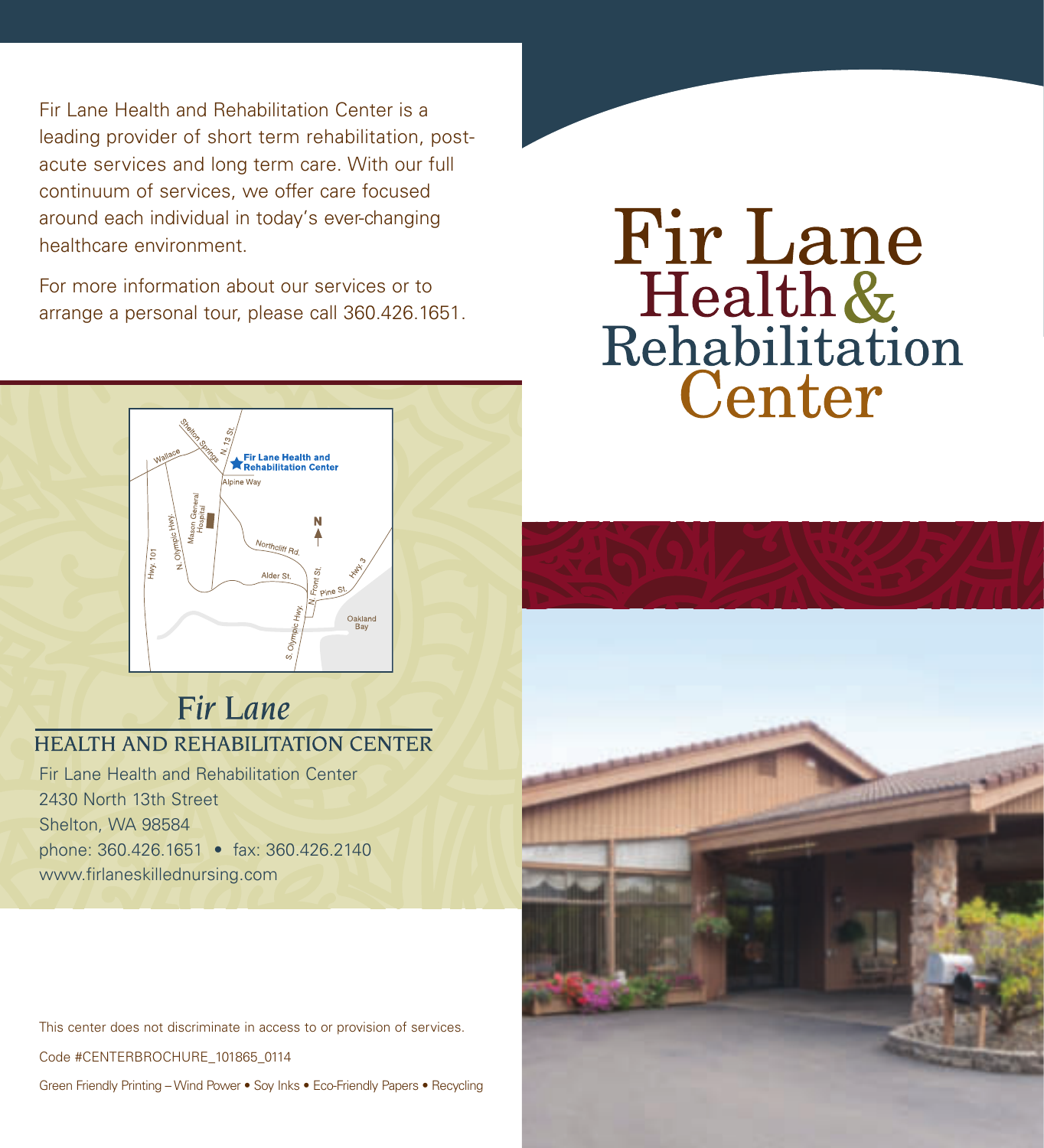Fir Lane Health and Rehabilitation Center is a leading provider of short term rehabilitation, postacute services and long term care. With our full continuum of services, we offer care focused around each individual in today's ever-changing healthcare environment.

For more information about our services or to arrange a personal tour, please call 360.426.1651.





# Fir Lane **HEALTH AND REHABILITATION CENTER**

Fir Lane Health and Rehabilitation Center 2430 North 13th Street Shelton, WA 98584 phone: 360.426.1651 • fax: 360.426.2140 www.firlaneskillednursing.com

This center does not discriminate in access to or provision of services.

Code #CENTERBROCHURE\_101865\_0114

Green Friendly Printing – Wind Power • Soy Inks • Eco-Friendly Papers • Recycling